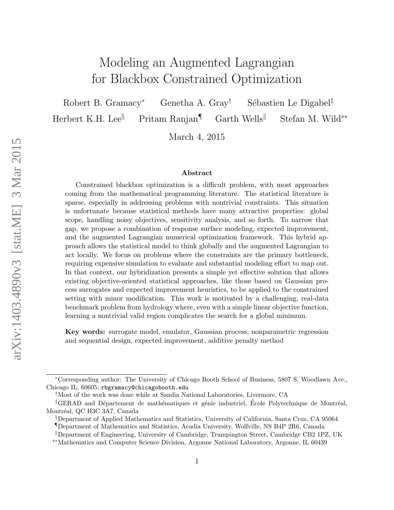# Modeling an Augmented Lagrangian for Blackbox Constrained Optimization

Robert B. Gramacy<sup>\*</sup> Genetha A. Gray<sup>†</sup> Sébastien Le Digabel<sup>‡</sup>

Herbert K.H. Lee<sup>§</sup> Pritam Ranjan¶ Garth Wells<sup>||</sup> Stefan M. Wild<sup>\*\*</sup>

March 4, 2015

#### Abstract

Constrained blackbox optimization is a difficult problem, with most approaches coming from the mathematical programming literature. The statistical literature is sparse, especially in addressing problems with nontrivial constraints. This situation is unfortunate because statistical methods have many attractive properties: global scope, handling noisy objectives, sensitivity analysis, and so forth. To narrow that gap, we propose a combination of response surface modeling, expected improvement, and the augmented Lagrangian numerical optimization framework. This hybrid approach allows the statistical model to think globally and the augmented Lagrangian to act locally. We focus on problems where the constraints are the primary bottleneck, requiring expensive simulation to evaluate and substantial modeling effort to map out. In that context, our hybridization presents a simple yet effective solution that allows existing objective-oriented statistical approaches, like those based on Gaussian process surrogates and expected improvement heuristics, to be applied to the constrained setting with minor modification. This work is motivated by a challenging, real-data benchmark problem from hydrology where, even with a simple linear objective function, learning a nontrivial valid region complicates the search for a global minimum.

Key words: surrogate model, emulator, Gaussian process, nonparametric regression and sequential design, expected improvement, additive penalty method

<sup>∗</sup>Corresponding author: The University of Chicago Booth School of Business, 5807 S. Woodlawn Ave., Chicago IL, 60605; rbgramacy@chicagobooth.edu

<sup>†</sup>Most of the work was done while at Sandia National Laboratories, Livermore, CA

<sup>&</sup>lt;sup>‡</sup>GERAD and Département de mathématiques et génie industriel, École Polytechnique de Montréal, Montréal, QC H3C 3A7, Canada

<sup>§</sup>Department of Applied Mathematics and Statistics, University of California, Santa Cruz, CA 95064 ¶Department of Mathematics and Statistics, Acadia University, Wolfville, NS B4P 2R6, Canada

<sup>k</sup>Department of Engineering, University of Cambridge, Trumpington Street, Cambridge CB2 1PZ, UK

<sup>∗∗</sup>Mathematics and Computer Science Division, Argonne National Laboratory, Argonne, IL 60439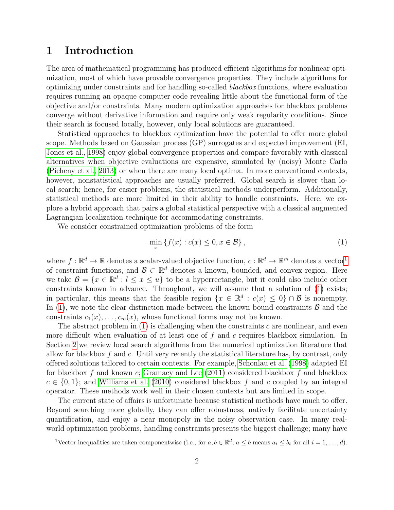# <span id="page-1-2"></span>1 Introduction

The area of mathematical programming has produced efficient algorithms for nonlinear optimization, most of which have provable convergence properties. They include algorithms for optimizing under constraints and for handling so-called blackbox functions, where evaluation requires running an opaque computer code revealing little about the functional form of the objective and/or constraints. Many modern optimization approaches for blackbox problems converge without derivative information and require only weak regularity conditions. Since their search is focused locally, however, only local solutions are guaranteed.

Statistical approaches to blackbox optimization have the potential to offer more global scope. Methods based on Gaussian process (GP) surrogates and expected improvement (EI, [Jones et al., 1998\)](#page-19-0) enjoy global convergence properties and compare favorably with classical alternatives when objective evaluations are expensive, simulated by (noisy) Monte Carlo [\(Picheny et al., 2013\)](#page-20-0) or when there are many local optima. In more conventional contexts, however, nonstatistical approaches are usually preferred. Global search is slower than local search; hence, for easier problems, the statistical methods underperform. Additionally, statistical methods are more limited in their ability to handle constraints. Here, we explore a hybrid approach that pairs a global statistical perspective with a classical augmented Lagrangian localization technique for accommodating constraints.

We consider constrained optimization problems of the form

<span id="page-1-1"></span>
$$
\min_{x} \{ f(x) : c(x) \le 0, x \in \mathcal{B} \},\tag{1}
$$

where  $f : \mathbb{R}^d \to \mathbb{R}$  denotes a scalar-valued objective function,  $c : \mathbb{R}^d \to \mathbb{R}^m$  denotes a vector<sup>[1](#page-1-0)</sup> of constraint functions, and  $\mathcal{B} \subset \mathbb{R}^d$  denotes a known, bounded, and convex region. Here we take  $\mathcal{B} = \{x \in \mathbb{R}^d : l \leq x \leq u\}$  to be a hyperrectangle, but it could also include other constraints known in advance. Throughout, we will assume that a solution of [\(1\)](#page-1-1) exists; in particular, this means that the feasible region  $\{x \in \mathbb{R}^d : c(x) \leq 0\} \cap \mathcal{B}$  is nonempty. In [\(1\)](#page-1-1), we note the clear distinction made between the known bound constraints  $\beta$  and the constraints  $c_1(x), \ldots, c_m(x)$ , whose functional forms may not be known.

The abstract problem in  $(1)$  is challenging when the constraints c are nonlinear, and even more difficult when evaluation of at least one of  $f$  and  $c$  requires blackbox simulation. In Section [2](#page-3-0) we review local search algorithms from the numerical optimization literature that allow for blackbox  $f$  and  $c$ . Until very recently the statistical literature has, by contrast, only offered solutions tailored to certain contexts. For example, [Schonlau et al.](#page-20-1) [\(1998\)](#page-20-1) adapted EI for blackbox f and known c; [Gramacy and Lee](#page-19-1)  $(2011)$  considered blackbox f and blackbox  $c \in \{0, 1\}$ ; and [Williams et al.](#page-21-0) [\(2010\)](#page-21-0) considered blackbox f and c coupled by an integral operator. These methods work well in their chosen contexts but are limited in scope.

The current state of affairs is unfortunate because statistical methods have much to offer. Beyond searching more globally, they can offer robustness, natively facilitate uncertainty quantification, and enjoy a near monopoly in the noisy observation case. In many realworld optimization problems, handling constraints presents the biggest challenge; many have

<span id="page-1-0"></span><sup>&</sup>lt;sup>1</sup>Vector inequalities are taken componentwise (i.e., for  $a, b \in \mathbb{R}^d$ ,  $a \leq b$  means  $a_i \leq b_i$  for all  $i = 1, \ldots, d$ ).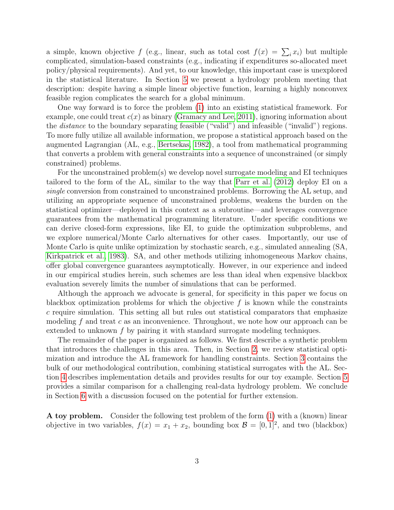a simple, known objective f (e.g., linear, such as total cost  $f(x) = \sum_i x_i$ ) but multiple complicated, simulation-based constraints (e.g., indicating if expenditures so-allocated meet policy/physical requirements). And yet, to our knowledge, this important case is unexplored in the statistical literature. In Section [5](#page-13-0) we present a hydrology problem meeting that description: despite having a simple linear objective function, learning a highly nonconvex feasible region complicates the search for a global minimum.

One way forward is to force the problem [\(1\)](#page-1-1) into an existing statistical framework. For example, one could treat  $c(x)$  as binary [\(Gramacy and Lee, 2011\)](#page-19-1), ignoring information about the *distance* to the boundary separating feasible ("valid") and infeasible ("invalid") regions. To more fully utilize all available information, we propose a statistical approach based on the augmented Lagrangian (AL, e.g., [Bertsekas, 1982\)](#page-18-0), a tool from mathematical programming that converts a problem with general constraints into a sequence of unconstrained (or simply constrained) problems.

For the unconstrained problem(s) we develop novel surrogate modeling and EI techniques tailored to the form of the AL, similar to the way that [Parr et al.](#page-20-2) [\(2012\)](#page-20-2) deploy EI on a single conversion from constrained to unconstrained problems. Borrowing the AL setup, and utilizing an appropriate sequence of unconstrained problems, weakens the burden on the statistical optimizer—deployed in this context as a subroutine—and leverages convergence guarantees from the mathematical programming literature. Under specific conditions we can derive closed-form expressions, like EI, to guide the optimization subproblems, and we explore numerical/Monte Carlo alternatives for other cases. Importantly, our use of Monte Carlo is quite unlike optimization by stochastic search, e.g., simulated annealing (SA, [Kirkpatrick et al., 1983\)](#page-19-2). SA, and other methods utilizing inhomogeneous Markov chains, offer global convergence guarantees asymptotically. However, in our experience and indeed in our empirical studies herein, such schemes are less than ideal when expensive blackbox evaluation severely limits the number of simulations that can be performed.

Although the approach we advocate is general, for specificity in this paper we focus on blackbox optimization problems for which the objective  $f$  is known while the constraints c require simulation. This setting all but rules out statistical comparators that emphasize modeling f and treat  $c$  as an inconvenience. Throughout, we note how our approach can be extended to unknown f by pairing it with standard surrogate modeling techniques.

The remainder of the paper is organized as follows. We first describe a synthetic problem that introduces the challenges in this area. Then, in Section [2,](#page-3-0) we review statistical optimization and introduce the AL framework for handling constraints. Section [3](#page-6-0) contains the bulk of our methodological contribution, combining statistical surrogates with the AL. Section [4](#page-10-0) describes implementation details and provides results for our toy example. Section [5](#page-13-0) provides a similar comparison for a challenging real-data hydrology problem. We conclude in Section [6](#page-16-0) with a discussion focused on the potential for further extension.

<span id="page-2-0"></span>A toy problem. Consider the following test problem of the form [\(1\)](#page-1-1) with a (known) linear objective in two variables,  $f(x) = x_1 + x_2$ , bounding box  $\mathcal{B} = [0, 1]^2$ , and two (blackbox)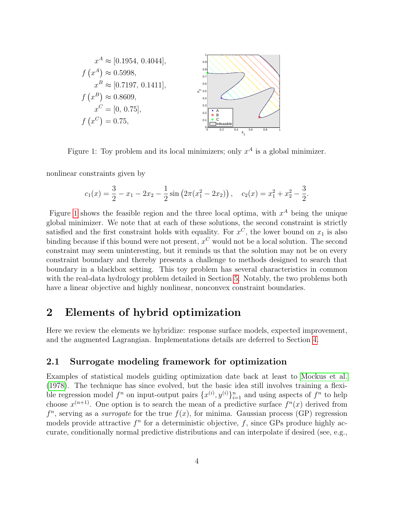<span id="page-3-1"></span>

Figure 1: Toy problem and its local minimizers; only  $x^A$  is a global minimizer.

nonlinear constraints given by

$$
c_1(x) = \frac{3}{2} - x_1 - 2x_2 - \frac{1}{2}\sin(2\pi(x_1^2 - 2x_2)), \quad c_2(x) = x_1^2 + x_2^2 - \frac{3}{2}.
$$

Figure [1](#page-3-1) shows the feasible region and the three local optima, with  $x^A$  being the unique global minimizer. We note that at each of these solutions, the second constraint is strictly satisfied and the first constraint holds with equality. For  $x^C$ , the lower bound on  $x_1$  is also binding because if this bound were not present,  $x^C$  would not be a local solution. The second constraint may seem uninteresting, but it reminds us that the solution may not be on every constraint boundary and thereby presents a challenge to methods designed to search that boundary in a blackbox setting. This toy problem has several characteristics in common with the real-data hydrology problem detailed in Section [5.](#page-13-0) Notably, the two problems both have a linear objective and highly nonlinear, nonconvex constraint boundaries.

# <span id="page-3-0"></span>2 Elements of hybrid optimization

Here we review the elements we hybridize: response surface models, expected improvement, and the augmented Lagrangian. Implementations details are deferred to Section [4.](#page-10-0)

## 2.1 Surrogate modeling framework for optimization

Examples of statistical models guiding optimization date back at least to [Mockus et al.](#page-20-3) [\(1978\)](#page-20-3). The technique has since evolved, but the basic idea still involves training a flexible regression model  $f^n$  on input-output pairs  $\{x^{(i)}, y^{(i)}\}_{i=1}^n$  and using aspects of  $f^n$  to help choose  $x^{(n+1)}$ . One option is to search the mean of a predictive surface  $f^{(n)}(x)$  derived from  $f^n$ , serving as a *surrogate* for the true  $f(x)$ , for minima. Gaussian process (GP) regression models provide attractive  $f^n$  for a deterministic objective, f, since GPs produce highly accurate, conditionally normal predictive distributions and can interpolate if desired (see, e.g.,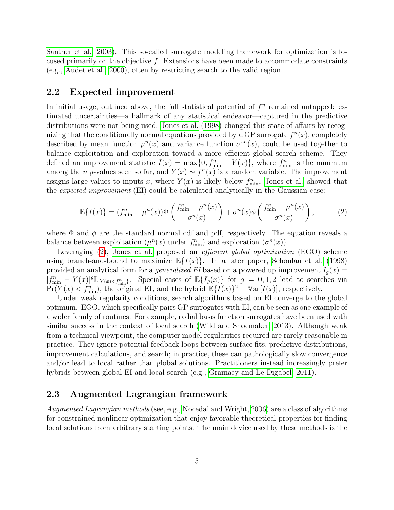[Santner et al., 2003\)](#page-20-4). This so-called surrogate modeling framework for optimization is focused primarily on the objective  $f$ . Extensions have been made to accommodate constraints (e.g., [Audet et al., 2000\)](#page-23-0), often by restricting search to the valid region.

### 2.2 Expected improvement

In initial usage, outlined above, the full statistical potential of  $f<sup>n</sup>$  remained untapped: estimated uncertainties—a hallmark of any statistical endeavor—captured in the predictive distributions were not being used. [Jones et al.](#page-19-0) [\(1998\)](#page-19-0) changed this state of affairs by recognizing that the conditionally normal equations provided by a GP surrogate  $f^{n}(x)$ , completely described by mean function  $\mu^{n}(x)$  and variance function  $\sigma^{2n}(x)$ , could be used together to balance exploitation and exploration toward a more efficient global search scheme. They defined an improvement statistic  $I(x) = \max\{0, f_{\min}^n - Y(x)\}\$ , where  $f_{\min}^n$  is the minimum among the *n* y-values seen so far, and  $Y(x) \sim f^{n}(x)$  is a random variable. The improvement assigns large values to inputs x, where  $Y(x)$  is likely below  $f_{\min}^n$ . [Jones et al.](#page-19-0) showed that the expected improvement (EI) could be calculated analytically in the Gaussian case:

<span id="page-4-0"></span>
$$
\mathbb{E}\{I(x)\} = (f_{\min}^n - \mu^n(x))\Phi\left(\frac{f_{\min}^n - \mu^n(x)}{\sigma^n(x)}\right) + \sigma^n(x)\phi\left(\frac{f_{\min}^n - \mu^n(x)}{\sigma^n(x)}\right),\tag{2}
$$

where  $\Phi$  and  $\phi$  are the standard normal cdf and pdf, respectively. The equation reveals a balance between exploitation  $(\mu^n(x)$  under  $f_{\min}^n$ ) and exploration  $(\sigma^n(x))$ .

Leveraging [\(2\)](#page-4-0), [Jones et al.](#page-19-0) proposed an *efficient global optimization* (EGO) scheme using branch-and-bound to maximize  $\mathbb{E}\{I(x)\}\$ . In a later paper, [Schonlau et al.](#page-20-1) [\(1998\)](#page-20-1) provided an analytical form for a *generalized EI* based on a powered up improvement  $I_g(x)$  =  $|f_{\min}^n - Y(x)|^{g} \mathbb{I}_{\{Y(x) < f_{\min}^n\}}$ . Special cases of  $\mathbb{E}\{I_g(x)\}\$  for  $g = 0, 1, 2$  lead to searches via  $Pr(Y(x) < f_{\min}^n)$ , the original EI, and the hybrid  $\mathbb{E}\lbrace I(x)\rbrace^2 + Var[I(x)]$ , respectively.

Under weak regularity conditions, search algorithms based on EI converge to the global optimum. EGO, which specifically pairs GP surrogates with EI, can be seen as one example of a wider family of routines. For example, radial basis function surrogates have been used with similar success in the context of local search [\(Wild and Shoemaker, 2013\)](#page-21-1). Although weak from a technical viewpoint, the computer model regularities required are rarely reasonable in practice. They ignore potential feedback loops between surface fits, predictive distributions, improvement calculations, and search; in practice, these can pathologically slow convergence and/or lead to local rather than global solutions. Practitioners instead increasingly prefer hybrids between global EI and local search (e.g., [Gramacy and Le Digabel, 2011\)](#page-18-1).

# 2.3 Augmented Lagrangian framework

Augmented Lagrangian methods (see, e.g., [Nocedal and Wright, 2006\)](#page-20-5) are a class of algorithms for constrained nonlinear optimization that enjoy favorable theoretical properties for finding local solutions from arbitrary starting points. The main device used by these methods is the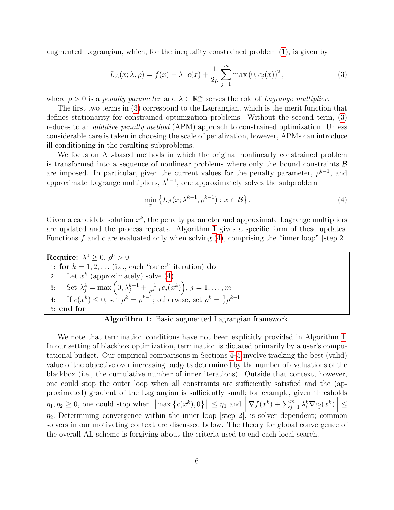augmented Lagrangian, which, for the inequality constrained problem [\(1\)](#page-1-1), is given by

<span id="page-5-0"></span>
$$
L_A(x; \lambda, \rho) = f(x) + \lambda^{\top} c(x) + \frac{1}{2\rho} \sum_{j=1}^{m} \max (0, c_j(x))^2,
$$
 (3)

where  $\rho > 0$  is a penalty parameter and  $\lambda \in \mathbb{R}^m_+$  serves the role of Lagrange multiplier.

The first two terms in [\(3\)](#page-5-0) correspond to the Lagrangian, which is the merit function that defines stationarity for constrained optimization problems. Without the second term, [\(3\)](#page-5-0) reduces to an *additive penalty method* (APM) approach to constrained optimization. Unless considerable care is taken in choosing the scale of penalization, however, APMs can introduce ill-conditioning in the resulting subproblems.

We focus on AL-based methods in which the original nonlinearly constrained problem is transformed into a sequence of nonlinear problems where only the bound constraints  $\beta$ are imposed. In particular, given the current values for the penalty parameter,  $\rho^{k-1}$ , and approximate Lagrange multipliers,  $\lambda^{k-1}$ , one approximately solves the subproblem

<span id="page-5-2"></span>
$$
\min_{x} \left\{ L_A(x; \lambda^{k-1}, \rho^{k-1}) : x \in \mathcal{B} \right\}.
$$
\n
$$
(4)
$$

Given a candidate solution  $x^k$ , the penalty parameter and approximate Lagrange multipliers are updated and the process repeats. Algorithm [1](#page-5-1) gives a specific form of these updates. Functions f and c are evaluated only when solving  $(4)$ , comprising the "inner loop" [step 2].

**Required:** 
$$
\lambda^0 \geq 0
$$
,  $\rho^0 > 0$ \n1: **for** *k* = 1, 2, ... (i.e., each "outer" iteration) **do**\n2: Let *x*<sup>*k*</sup> (approximately) solve (4)\n3: Set  $\lambda_j^k = \max\left(0, \lambda_j^{k-1} + \frac{1}{\rho^{k-1}} c_j(x^k)\right), j = 1, \ldots, m$ \n4: If *c*(*x*<sup>*k*</sup>) ≤ 0, set *ρ*<sup>*k*</sup> = *ρ*<sup>*k*-1</sup>; otherwise, set *ρ*<sup>*k*</sup> =  $\frac{1}{2}ρ^{k-1}$ \n5: **end for**

Algorithm 1: Basic augmented Lagrangian framework.

<span id="page-5-1"></span>We note that termination conditions have not been explicitly provided in Algorithm [1.](#page-5-1) In our setting of blackbox optimization, termination is dictated primarily by a user's computational budget. Our empirical comparisons in Sections [4–](#page-10-0)[5](#page-13-0) involve tracking the best (valid) value of the objective over increasing budgets determined by the number of evaluations of the blackbox (i.e., the cumulative number of inner iterations). Outside that context, however, one could stop the outer loop when all constraints are sufficiently satisfied and the (approximated) gradient of the Lagrangian is sufficiently small; for example, given thresholds  $\eta_1, \eta_2 \geq 0$ , one could stop when  $\left\| \max \left\{ c(x^k), 0 \right\} \right\| \leq \eta_1$  and  $\left\| \nabla f(x^k) + \sum_{j=1}^m \lambda_i^k \nabla c_j(x^k) \right\| \leq$  $\eta_2$ . Determining convergence within the inner loop [step 2], is solver dependent; common solvers in our motivating context are discussed below. The theory for global convergence of the overall AL scheme is forgiving about the criteria used to end each local search.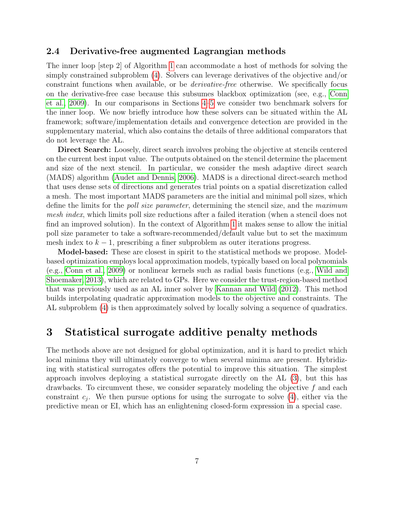### <span id="page-6-1"></span>2.4 Derivative-free augmented Lagrangian methods

The inner loop [step 2] of Algorithm [1](#page-5-1) can accommodate a host of methods for solving the simply constrained subproblem [\(4\)](#page-5-2). Solvers can leverage derivatives of the objective and/or constraint functions when available, or be derivative-free otherwise. We specifically focus on the derivative-free case because this subsumes blackbox optimization (see, e.g., [Conn](#page-18-2) [et al., 2009\)](#page-18-2). In our comparisons in Sections [4](#page-10-0)[–5](#page-13-0) we consider two benchmark solvers for the inner loop. We now briefly introduce how these solvers can be situated within the AL framework; software/implementation details and convergence detection are provided in the supplementary material, which also contains the details of three additional comparators that do not leverage the AL.

Direct Search: Loosely, direct search involves probing the objective at stencils centered on the current best input value. The outputs obtained on the stencil determine the placement and size of the next stencil. In particular, we consider the mesh adaptive direct search (MADS) algorithm [\(Audet and Dennis, 2006\)](#page-18-3). MADS is a directional direct-search method that uses dense sets of directions and generates trial points on a spatial discretization called a mesh. The most important MADS parameters are the initial and minimal poll sizes, which define the limits for the *poll size parameter*, determining the stencil size, and the *maximum* mesh index, which limits poll size reductions after a failed iteration (when a stencil does not find an improved solution). In the context of Algorithm [1](#page-5-1) it makes sense to allow the initial poll size parameter to take a software-recommended/default value but to set the maximum mesh index to  $k - 1$ , prescribing a finer subproblem as outer iterations progress.

Model-based: These are closest in spirit to the statistical methods we propose. Modelbased optimization employs local approximation models, typically based on local polynomials (e.g., [Conn et al., 2009\)](#page-18-2) or nonlinear kernels such as radial basis functions (e.g., [Wild and](#page-21-1) [Shoemaker, 2013\)](#page-21-1), which are related to GPs. Here we consider the trust-region-based method that was previously used as an AL inner solver by [Kannan and Wild](#page-19-3) [\(2012\)](#page-19-3). This method builds interpolating quadratic approximation models to the objective and constraints. The AL subproblem [\(4\)](#page-5-2) is then approximately solved by locally solving a sequence of quadratics.

# <span id="page-6-0"></span>3 Statistical surrogate additive penalty methods

The methods above are not designed for global optimization, and it is hard to predict which local minima they will ultimately converge to when several minima are present. Hybridizing with statistical surrogates offers the potential to improve this situation. The simplest approach involves deploying a statistical surrogate directly on the AL [\(3\)](#page-5-0), but this has drawbacks. To circumvent these, we consider separately modeling the objective f and each constraint  $c_j$ . We then pursue options for using the surrogate to solve [\(4\)](#page-5-2), either via the predictive mean or EI, which has an enlightening closed-form expression in a special case.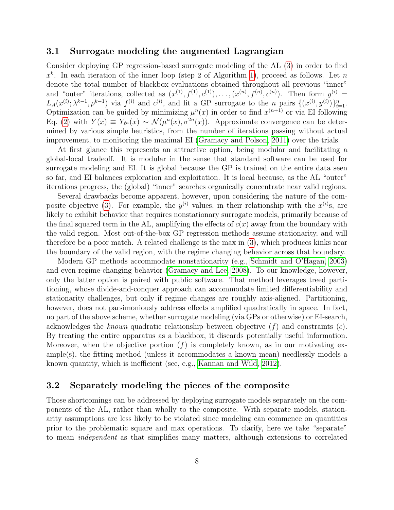### <span id="page-7-0"></span>3.1 Surrogate modeling the augmented Lagrangian

Consider deploying GP regression-based surrogate modeling of the AL [\(3\)](#page-5-0) in order to find  $x<sup>k</sup>$ . In each iteration of the inner loop (step 2 of Algorithm [1\)](#page-5-1), proceed as follows. Let n denote the total number of blackbox evaluations obtained throughout all previous "inner" and "outer" iterations, collected as  $(x^{(1)}, f^{(1)}, c^{(1)}), \ldots, (x^{(n)}, f^{(n)}, c^{(n)})$ . Then form  $y^{(i)} =$  $L_A(x^{(i)}; \lambda^{k-1}, \rho^{k-1})$  via  $f^{(i)}$  and  $c^{(i)}$ , and fit a GP surrogate to the *n* pairs  $\{(x^{(i)}, y^{(i)})\}_{i=1}^n$ . Optimization can be guided by minimizing  $\mu^{n}(x)$  in order to find  $x^{(n+1)}$  or via EI following Eq. [\(2\)](#page-4-0) with  $Y(x) \equiv Y_{\ell^n}(x) \sim \mathcal{N}(\mu^n(x), \sigma^{2n}(x))$ . Approximate convergence can be determined by various simple heuristics, from the number of iterations passing without actual improvement, to monitoring the maximal EI [\(Gramacy and Polson, 2011\)](#page-19-4) over the trials.

At first glance this represents an attractive option, being modular and facilitating a global-local tradeoff. It is modular in the sense that standard software can be used for surrogate modeling and EI. It is global because the GP is trained on the entire data seen so far, and EI balances exploration and exploitation. It is local because, as the AL "outer" iterations progress, the (global) "inner" searches organically concentrate near valid regions.

Several drawbacks become apparent, however, upon considering the nature of the com-posite objective [\(3\)](#page-5-0). For example, the  $y^{(i)}$  values, in their relationship with the  $x^{(i)}$ s, are likely to exhibit behavior that requires nonstationary surrogate models, primarily because of the final squared term in the AL, amplifying the effects of  $c(x)$  away from the boundary with the valid region. Most out-of-the-box GP regression methods assume stationarity, and will therefore be a poor match. A related challenge is the max in [\(3\)](#page-5-0), which produces kinks near the boundary of the valid region, with the regime changing behavior across that boundary.

Modern GP methods accommodate nonstationarity (e.g., [Schmidt and O'Hagan, 2003\)](#page-20-6) and even regime-changing behavior [\(Gramacy and Lee, 2008\)](#page-19-5). To our knowledge, however, only the latter option is paired with public software. That method leverages treed partitioning, whose divide-and-conquer approach can accommodate limited differentiability and stationarity challenges, but only if regime changes are roughly axis-aligned. Partitioning, however, does not parsimoniously address effects amplified quadratically in space. In fact, no part of the above scheme, whether surrogate modeling (via GPs or otherwise) or EI-search, acknowledges the known quadratic relationship between objective  $(f)$  and constraints  $(c)$ . By treating the entire apparatus as a blackbox, it discards potentially useful information. Moreover, when the objective portion  $(f)$  is completely known, as in our motivating example(s), the fitting method (unless it accommodates a known mean) needlessly models a known quantity, which is inefficient (see, e.g., [Kannan and Wild, 2012\)](#page-19-3).

## <span id="page-7-1"></span>3.2 Separately modeling the pieces of the composite

Those shortcomings can be addressed by deploying surrogate models separately on the components of the AL, rather than wholly to the composite. With separate models, stationarity assumptions are less likely to be violated since modeling can commence on quantities prior to the problematic square and max operations. To clarify, here we take "separate" to mean independent as that simplifies many matters, although extensions to correlated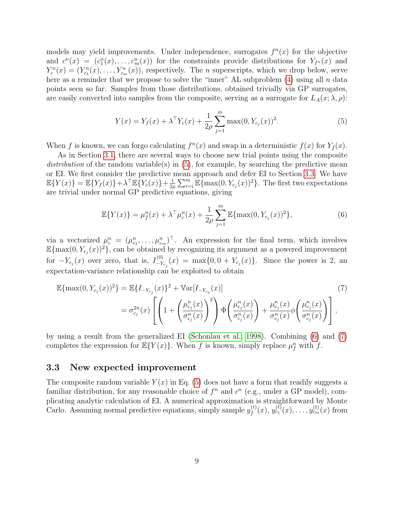models may yield improvements. Under independence, surrogates  $f^{n}(x)$  for the objective and  $c^n(x) = (c_1^n(x), \ldots, c_m^n(x))$  for the constraints provide distributions for  $Y_{f^n}(x)$  and  $Y_c^n(x) = (Y_{c_1}^n(x), \ldots, Y_{c_m}^n(x))$ , respectively. The *n* superscripts, which we drop below, serve here as a reminder that we propose to solve the "inner" AL subproblem  $(4)$  using all n data points seen so far. Samples from those distributions, obtained trivially via GP surrogates, are easily converted into samples from the composite, serving as a surrogate for  $L_A(x; \lambda, \rho)$ :

<span id="page-8-0"></span>
$$
Y(x) = Y_f(x) + \lambda^{\top} Y_c(x) + \frac{1}{2\rho} \sum_{j=1}^{m} \max(0, Y_{c_j}(x))^2.
$$
 (5)

When f is known, we can forgo calculating  $f^{n}(x)$  and swap in a deterministic  $f(x)$  for  $Y_{f}(x)$ .

As in Section [3.1,](#page-7-0) there are several ways to choose new trial points using the composite distribution of the random variable(s) in  $(5)$ , for example, by searching the predictive mean or EI. We first consider the predictive mean approach and defer EI to Section [3.3.](#page-8-1) We have  $\mathbb{E}\{Y(x)\} = \mathbb{E}\{Y_f(x)\} + \lambda^{\top} \mathbb{E}\{Y_c(x)\} + \frac{1}{2d}$  $\frac{1}{2\rho} \sum_{i=i}^{m} \mathbb{E} \{ \max(0, Y_{c_j}(x))^2 \}.$  The first two expectations are trivial under normal GP predictive equations, giving

<span id="page-8-3"></span><span id="page-8-2"></span>
$$
\mathbb{E}\{Y(x)\} = \mu_f^n(x) + \lambda^\top \mu_c^n(x) + \frac{1}{2\rho} \sum_{j=1}^m \mathbb{E}\{\max(0, Y_{c_j}(x))^2\},\tag{6}
$$

via a vectorized  $\mu_c^n = (\mu_{c_1}^n, \ldots, \mu_{c_m}^n)^\top$ . An expression for the final term, which involves  $\mathbb{E}\{\max(0, Y_{c_j}(x))^2\}$ , can be obtained by recognizing its argument as a powered improvement for  $-Y_{c_j}(x)$  over zero, that is,  $I_{-Y}^{(0)}$  $\sum_{-Y_{c_j}}^{(0)}(x) = \max\{0, 0 + Y_{c_j}(x)\}.$  Since the power is 2, an expectation-variance relationship can be exploited to obtain

$$
\mathbb{E}\{\max(0, Y_{c_j}(x))^2\} = \mathbb{E}\{I_{-Y_{c_j}}(x)\}^2 + \mathbb{V}\text{ar}[I_{-Y_{c_j}}(x)]
$$
\n
$$
= \sigma_{c_j}^{2n}(x) \left[ \left(1 + \left(\frac{\mu_{c_j}^n(x)}{\sigma_{c_j}^n(x)}\right)^2\right) \Phi\left(\frac{\mu_{c_j}^n(x)}{\sigma_{c_j}^n(x)}\right) + \frac{\mu_{c_j}^n(x)}{\sigma_{c_j}^n(x)} \phi\left(\frac{\mu_{c_j}^n(x)}{\sigma_{c_j}^n(x)}\right) \right],
$$
\n(7)

by using a result from the generalized EI [\(Schonlau et al., 1998\)](#page-20-1). Combining [\(6\)](#page-8-2) and [\(7\)](#page-8-3) completes the expression for  $\mathbb{E}\{Y(x)\}\$ . When f is known, simply replace  $\mu_f^n$  with f.

### <span id="page-8-1"></span>3.3 New expected improvement

The composite random variable  $Y(x)$  in Eq. [\(5\)](#page-8-0) does not have a form that readily suggests a familiar distribution, for any reasonable choice of  $f^n$  and  $c^n$  (e.g., under a GP model), complicating analytic calculation of EI. A numerical approximation is straightforward by Monte Carlo. Assuming normal predictive equations, simply sample  $y_f^{(t)}$  $f^{(t)}_f(x),\,y^{(\bar t)}_{c_1}(x),\ldots,y^{(t)}_{c_m}(x) \hbox{ from }$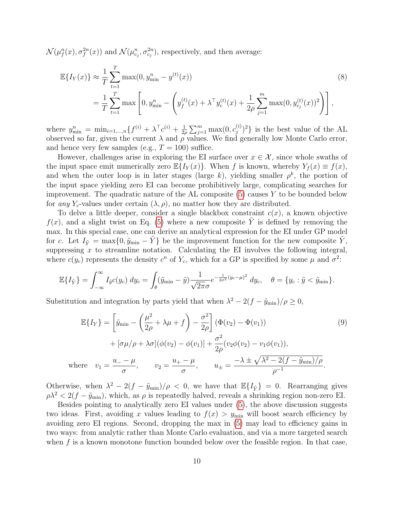$\mathcal{N}(\mu_f^n(x), \sigma_f^{2n}(x))$  and  $\mathcal{N}(\mu_{c_j}^n, \sigma_{c_j}^{2n})$ , respectively, and then average:

<span id="page-9-0"></span>
$$
\mathbb{E}\{I_Y(x)\} \approx \frac{1}{T} \sum_{t=1}^T \max(0, y_{\min}^n - y^{(t)}(x))
$$
\n
$$
= \frac{1}{T} \sum_{t=1}^T \max\left[0, y_{\min}^n - \left(y_f^{(t)}(x) + \lambda^{\top} y_c^{(t)}(x) + \frac{1}{2\rho} \sum_{j=1}^m \max(0, y_{c_j}^{(t)}(x))^2\right)\right],
$$
\n(8)

where  $y_{\min}^n = \min_{i=1,\dots,n} \{f^{(i)} + \lambda^{\top} c^{(i)} + \frac{1}{2a} \}$  $\frac{1}{2\rho}\sum_{j=1}^m \max(0,c_j^{(i)})$  $\binom{(i)}{j}^2$  is the best value of the AL observed so far, given the current  $\lambda$  and  $\rho$  values. We find generally low Monte Carlo error, and hence very few samples (e.g.,  $T = 100$ ) suffice.

However, challenges arise in exploring the EI surface over  $x \in \mathcal{X}$ , since whole swaths of the input space emit numerically zero  $\mathbb{E}\{I_Y(x)\}\$ . When f is known, whereby  $Y_f(x) \equiv f(x)$ , and when the outer loop is in later stages (large k), yielding smaller  $\rho^k$ , the portion of the input space yielding zero EI can become prohibitively large, complicating searches for improvement. The quadratic nature of the AL composite  $(5)$  causes Y to be bounded below for any  $Y_c$ -values under certain  $(\lambda, \rho)$ , no matter how they are distributed.

To delve a little deeper, consider a single blackbox constraint  $c(x)$ , a known objective  $f(x)$ , and a slight twist on Eq. [\(5\)](#page-8-0) where a new composite Y is defined by removing the max. In this special case, one can derive an analytical expression for the EI under GP model for c. Let  $I_{\tilde{Y}} = \max\{0, \tilde{y}_{\min} - \tilde{Y}\}\$ be the improvement function for the new composite  $\tilde{Y}$ , suppressing  $x$  to streamline notation. Calculating the EI involves the following integral, where  $c(y_c)$  represents the density  $c^n$  of  $Y_c$ , which for a GP is specified by some  $\mu$  and  $\sigma^2$ .

$$
\mathbb{E}\{I_{\tilde{Y}}\} = \int_{-\infty}^{\infty} I_{\tilde{y}}c(y_c) dy_c = \int_{\theta} (\tilde{y}_{\min} - \tilde{y}) \frac{1}{\sqrt{2\pi}\sigma} e^{-\frac{1}{2\sigma^2}(y_c - \mu)^2} dy_c, \quad \theta = \{y_c : \tilde{y} < \tilde{y}_{\min}\}.
$$

Substitution and integration by parts yield that when  $\lambda^2 - 2(f - \tilde{y}_{min})/\rho \ge 0$ ,

<span id="page-9-1"></span>
$$
\mathbb{E}\{I_Y\} = \left[\tilde{y}_{\min} - \left(\frac{\mu^2}{2\rho} + \lambda\mu + f\right) - \frac{\sigma^2}{2\rho}\right] \left(\Phi(v_2) - \Phi(v_1)\right) \tag{9}
$$
\n
$$
+ \left[\sigma\mu/\rho + \lambda\sigma\right] \left(\phi(v_2) - \phi(v_1)\right] + \frac{\sigma^2}{2\rho} (v_2\phi(v_2) - v_1\phi(v_1)),
$$
\nwhere  $v_1 = \frac{u_1 - \mu}{\sigma}$ ,  $v_2 = \frac{u_1 - \mu}{\sigma}$ ,  $u_{\pm} = \frac{-\lambda \pm \sqrt{\lambda^2 - 2(f - \tilde{y}_{\min})/\rho}}{\rho^{-1}}$ .

Otherwise, when  $\lambda^2 - 2(f - \tilde{y}_{\min})/\rho < 0$ , we have that  $\mathbb{E}\{I_{\tilde{Y}}\} = 0$ . Rearranging gives  $\rho\lambda^2 < 2(f - \tilde{y}_{\min})$ , which, as  $\rho$  is repeatedly halved, reveals a shrinking region non-zero EI.

Besides pointing to analytically zero EI values under [\(5\)](#page-8-0), the above discussion suggests two ideas. First, avoiding x values leading to  $f(x) > y_{min}$  will boost search efficiency by avoiding zero EI regions. Second, dropping the max in [\(5\)](#page-8-0) may lead to efficiency gains in two ways: from analytic rather than Monte Carlo evaluation, and via a more targeted search when  $f$  is a known monotone function bounded below over the feasible region. In that case,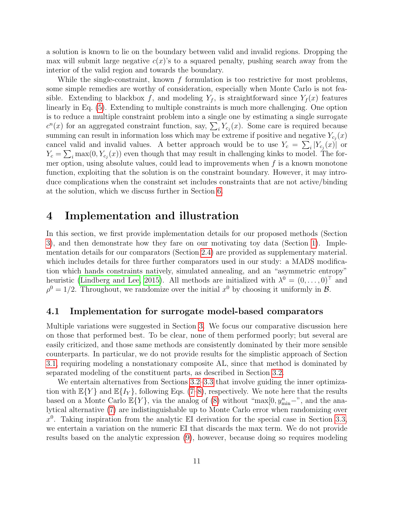a solution is known to lie on the boundary between valid and invalid regions. Dropping the max will submit large negative  $c(x)$ 's to a squared penalty, pushing search away from the interior of the valid region and towards the boundary.

While the single-constraint, known  $f$  formulation is too restrictive for most problems, some simple remedies are worthy of consideration, especially when Monte Carlo is not feasible. Extending to blackbox f, and modeling  $Y_f$ , is straightforward since  $Y_f(x)$  features linearly in Eq. [\(5\)](#page-8-0). Extending to multiple constraints is much more challenging. One option is to reduce a multiple constraint problem into a single one by estimating a single surrogate  $c^{n}(x)$  for an aggregated constraint function, say,  $\sum_{i} Y_{c_{i}}(x)$ . Some care is required because summing can result in information loss which may be extreme if positive and negative  $Y_{c_j}(x)$ cancel valid and invalid values. A better approach would be to use  $Y_c = \sum_i |Y_{c_j}(x)|$  or  $Y_c = \sum_i \max(0, Y_{c_i}(x))$  even though that may result in challenging kinks to model. The former option, using absolute values, could lead to improvements when  $f$  is a known monotone function, exploiting that the solution is on the constraint boundary. However, it may introduce complications when the constraint set includes constraints that are not active/binding at the solution, which we discuss further in Section [6.](#page-16-0)

# <span id="page-10-0"></span>4 Implementation and illustration

In this section, we first provide implementation details for our proposed methods (Section [3\)](#page-6-0), and then demonstrate how they fare on our motivating toy data (Section [1\)](#page-1-2). Implementation details for our comparators (Section [2.4\)](#page-6-1) are provided as supplementary material. which includes details for three further comparators used in our study: a MADS modification which hands constraints natively, simulated annealing, and an "asymmetric entropy" heuristic [\(Lindberg and Lee, 2015\)](#page-19-6). All methods are initialized with  $\lambda^0 = (0, \ldots, 0)^\top$  and  $\rho^0 = 1/2$ . Throughout, we randomize over the initial  $x^0$  by choosing it uniformly in  $\mathcal{B}$ .

## <span id="page-10-1"></span>4.1 Implementation for surrogate model-based comparators

Multiple variations were suggested in Section [3.](#page-6-0) We focus our comparative discussion here on those that performed best. To be clear, none of them performed poorly; but several are easily criticized, and those same methods are consistently dominated by their more sensible counterparts. In particular, we do not provide results for the simplistic approach of Section [3.1,](#page-7-0) requiring modeling a nonstationary composite AL, since that method is dominated by separated modeling of the constituent parts, as described in Section [3.2.](#page-7-1)

We entertain alternatives from Sections [3.2–](#page-7-1)[3.3](#page-8-1) that involve guiding the inner optimization with  $\mathbb{E}\{Y\}$  and  $\mathbb{E}\{I_Y\}$ , following Eqs. [\(7](#page-8-3)[–8\)](#page-9-0), respectively. We note here that the results based on a Monte Carlo  $\mathbb{E}\{Y\}$ , via the analog of [\(8\)](#page-9-0) without "max[0,  $y_{\min}^n$ -", and the analytical alternative [\(7\)](#page-8-3) are indistinguishable up to Monte Carlo error when randomizing over  $x^0$ . Taking inspiration from the analytic EI derivation for the special case in Section [3.3,](#page-8-1) we entertain a variation on the numeric EI that discards the max term. We do not provide results based on the analytic expression [\(9\)](#page-9-1), however, because doing so requires modeling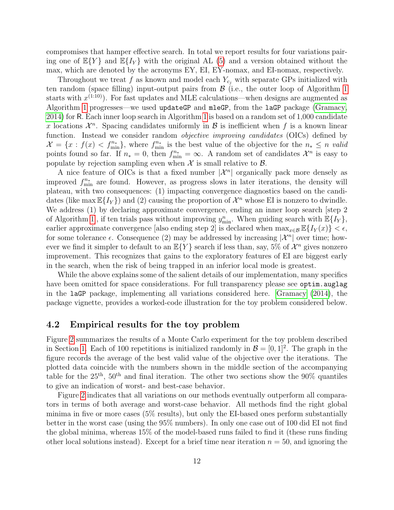compromises that hamper effective search. In total we report results for four variations pairing one of  $\mathbb{E}\{Y\}$  and  $\mathbb{E}\{I_Y\}$  with the original AL [\(5\)](#page-8-0) and a version obtained without the max, which are denoted by the acronyms EY, EI, EY-nomax, and EI-nomax, respectively.

Throughout we treat f as known and model each  $Y_{c_i}$  with separate GPs initialized with ten random (space filling) input-output pairs from  $\beta$  (i.e., the outer loop of Algorithm [1](#page-5-1) starts with  $x^{(1:10)}$ ). For fast updates and MLE calculations—when designs are augmented as Algorithm [1](#page-5-1) progresses—we used updateGP and mleGP, from the laGP package [\(Gramacy,](#page-19-7) [2014\)](#page-19-7) for R. Each inner loop search in Algorithm [1](#page-5-1) is based on a random set of 1,000 candidate x locations  $\mathcal{X}^n$ . Spacing candidates uniformly in  $\mathcal{B}$  is inefficient when f is a known linear function. Instead we consider random *objective improving candidates* (OICs) defined by  $\mathcal{X} = \{x : f(x) < f_{\min}^{n*}\}\$ , where  $f_{\min}^{n*}$  is the best value of the objective for the  $n_* \leq n$  valid points found so far. If  $n_* = 0$ , then  $f_{\min}^{n_*} = \infty$ . A random set of candidates  $\mathcal{X}^n$  is easy to populate by rejection sampling even when  $\mathcal X$  is small relative to  $\mathcal B$ .

A nice feature of OICs is that a fixed number  $|\mathcal{X}^n|$  organically pack more densely as improved  $f_{\min}^{n*}$  are found. However, as progress slows in later iterations, the density will plateau, with two consequences: (1) impacting convergence diagnostics based on the candidates (like max  $\mathbb{E}\{I_Y\}$ ) and (2) causing the proportion of  $\mathcal{X}^n$  whose EI is nonzero to dwindle. We address (1) by declaring approximate convergence, ending an inner loop search [step 2] of Algorithm 1, if ten trials pass without improving  $y_{\min}^n$ . When guiding search with  $\mathbb{E}\{I_Y\}$ , earlier approximate convergence [also ending step 2] is declared when  $\max_{x \in \mathcal{B}} \mathbb{E}\{I_Y(x)\} < \epsilon$ , for some tolerance  $\epsilon$ . Consequence (2) may be addressed by increasing  $|\mathcal{X}^n|$  over time; however we find it simpler to default to an  $\mathbb{E}\{Y\}$  search if less than, say, 5% of  $\mathcal{X}^n$  gives nonzero improvement. This recognizes that gains to the exploratory features of EI are biggest early in the search, when the risk of being trapped in an inferior local mode is greatest.

While the above explains some of the salient details of our implementation, many specifics have been omitted for space considerations. For full transparency please see optim.auglag in the laGP package, implementing all variations considered here. [Gramacy](#page-19-8) [\(2014\)](#page-19-8), the package vignette, provides a worked-code illustration for the toy problem considered below.

### <span id="page-11-0"></span>4.2 Empirical results for the toy problem

Figure [2](#page-12-0) summarizes the results of a Monte Carlo experiment for the toy problem described in Section [1.](#page-2-0) Each of 100 repetitions is initialized randomly in  $\mathcal{B} = [0, 1]^2$ . The graph in the figure records the average of the best valid value of the objective over the iterations. The plotted data coincide with the numbers shown in the middle section of the accompanying table for the  $25<sup>th</sup>$ ,  $50<sup>th</sup>$  and final iteration. The other two sections show the 90% quantiles to give an indication of worst- and best-case behavior.

Figure [2](#page-12-0) indicates that all variations on our methods eventually outperform all comparators in terms of both average and worst-case behavior. All methods find the right global minima in five or more cases (5% results), but only the EI-based ones perform substantially better in the worst case (using the 95% numbers). In only one case out of 100 did EI not find the global minima, whereas 15% of the model-based runs failed to find it (these runs finding other local solutions instead). Except for a brief time near iteration  $n = 50$ , and ignoring the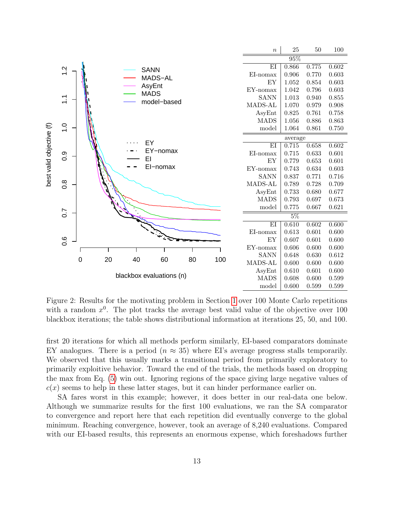<span id="page-12-0"></span>

|                          |                       |                          |                                  |    | $\boldsymbol{n}$ | 25                     | 50    | 100               |       |       |       |  |  |
|--------------------------|-----------------------|--------------------------|----------------------------------|----|------------------|------------------------|-------|-------------------|-------|-------|-------|--|--|
|                          |                       |                          | <b>SANN</b><br>MADS-AL           |    |                  |                        |       |                   | 95%   |       |       |  |  |
| best valid objective (f) | $\frac{2}{1}$         |                          |                                  |    |                  |                        |       |                   | 0.866 | 0.775 | 0.602 |  |  |
|                          |                       |                          |                                  |    |                  |                        |       |                   | 0.906 | 0.770 | 0.603 |  |  |
|                          |                       |                          |                                  |    |                  | EY<br>$EY$ -nomax      | 1.052 | 0.854             | 0.603 |       |       |  |  |
|                          |                       |                          | AsyEnt<br><b>MADS</b>            |    |                  |                        |       |                   | 1.042 | 0.796 | 0.603 |  |  |
|                          | $\tilde{\mathcal{L}}$ |                          |                                  |    | model-based      | <b>SANN</b><br>MADS-AL | 1.013 | 0.940             | 0.855 |       |       |  |  |
|                          |                       |                          |                                  |    |                  |                        |       |                   | 1.070 | 0.979 | 0.908 |  |  |
|                          |                       |                          |                                  |    |                  | AsyEnt                 | 0.825 | 0.761             | 0.758 |       |       |  |  |
|                          | $\frac{0}{1}$         |                          |                                  |    |                  | <b>MADS</b>            | 1.056 | 0.886             | 0.863 |       |       |  |  |
|                          |                       |                          |                                  |    |                  | model                  | 1.064 | 0.861             | 0.750 |       |       |  |  |
|                          |                       |                          |                                  |    |                  | average                |       |                   |       |       |       |  |  |
|                          | $\frac{6}{10}$        |                          | EY<br>EY-nomax<br>EI<br>El-nomax |    |                  |                        |       |                   | 0.715 | 0.658 | 0.602 |  |  |
|                          |                       |                          |                                  |    |                  |                        |       |                   | 0.715 | 0.633 | 0.601 |  |  |
|                          |                       |                          |                                  |    |                  |                        |       |                   | 0.779 | 0.653 | 0.601 |  |  |
|                          |                       |                          |                                  |    |                  |                        |       |                   | 0.743 | 0.634 | 0.603 |  |  |
|                          |                       |                          |                                  |    |                  |                        |       |                   | 0.837 | 0.771 | 0.716 |  |  |
|                          | $0.\overline{8}$      |                          |                                  |    |                  | MADS-AL<br>AsyEnt      | 0.789 | 0.728             | 0.709 |       |       |  |  |
|                          | 0.7                   |                          |                                  |    |                  |                        |       |                   | 0.733 | 0.680 | 0.677 |  |  |
|                          |                       |                          |                                  |    |                  |                        |       |                   | 0.793 | 0.697 | 0.673 |  |  |
|                          |                       |                          |                                  |    |                  |                        |       |                   | 0.775 | 0.667 | 0.621 |  |  |
|                          |                       |                          |                                  |    |                  |                        |       |                   | $5\%$ |       |       |  |  |
|                          |                       |                          |                                  |    |                  |                        |       | EI                | 0.610 | 0.602 | 0.600 |  |  |
|                          | 0.6                   |                          |                                  |    |                  |                        |       | EI-nomax          | 0.613 | 0.601 | 0.600 |  |  |
|                          |                       |                          |                                  |    |                  |                        |       | EY                | 0.607 | 0.601 | 0.600 |  |  |
|                          |                       |                          |                                  |    |                  |                        |       | $EY$ -nomax       | 0.606 | 0.600 | 0.600 |  |  |
|                          |                       | $\mathbf 0$              | 20                               | 40 | 60               | 80                     | 100   | <b>SANN</b>       | 0.648 | 0.630 | 0.612 |  |  |
|                          |                       |                          |                                  |    |                  |                        |       | MADS-AL<br>AsyEnt | 0.600 | 0.600 | 0.600 |  |  |
|                          |                       | blackbox evaluations (n) |                                  |    |                  |                        |       |                   | 0.610 | 0.601 | 0.600 |  |  |
|                          |                       |                          |                                  |    |                  |                        |       | <b>MADS</b>       | 0.608 | 0.600 | 0.599 |  |  |
|                          |                       |                          |                                  |    |                  | model                  | 0.600 | 0.599             | 0.599 |       |       |  |  |

Figure 2: Results for the motivating problem in Section [1](#page-2-0) over 100 Monte Carlo repetitions with a random  $x^0$ . The plot tracks the average best valid value of the objective over 100 blackbox iterations; the table shows distributional information at iterations 25, 50, and 100.

first 20 iterations for which all methods perform similarly, EI-based comparators dominate EY analogues. There is a period ( $n \approx 35$ ) where EI's average progress stalls temporarily. We observed that this usually marks a transitional period from primarily exploratory to primarily exploitive behavior. Toward the end of the trials, the methods based on dropping the max from Eq. [\(5\)](#page-8-0) win out. Ignoring regions of the space giving large negative values of  $c(x)$  seems to help in these latter stages, but it can hinder performance earlier on.

SA fares worst in this example; however, it does better in our real-data one below. Although we summarize results for the first 100 evaluations, we ran the SA comparator to convergence and report here that each repetition did eventually converge to the global minimum. Reaching convergence, however, took an average of 8,240 evaluations. Compared with our EI-based results, this represents an enormous expense, which foreshadows further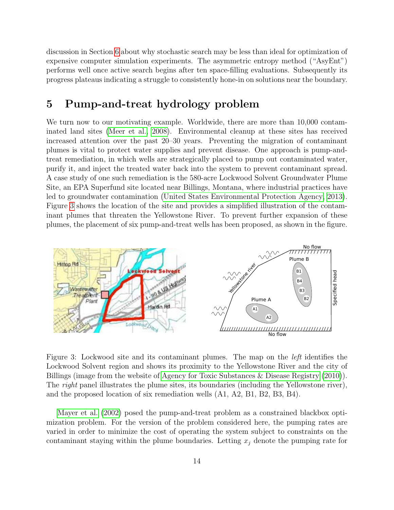discussion in Section [6](#page-16-0) about why stochastic search may be less than ideal for optimization of expensive computer simulation experiments. The asymmetric entropy method ("AsyEnt") performs well once active search begins after ten space-filling evaluations. Subsequently its progress plateaus indicating a struggle to consistently hone-in on solutions near the boundary.

# <span id="page-13-0"></span>5 Pump-and-treat hydrology problem

We turn now to our motivating example. Worldwide, there are more than 10,000 contaminated land sites [\(Meer et al., 2008\)](#page-20-7). Environmental cleanup at these sites has received increased attention over the past 20–30 years. Preventing the migration of contaminant plumes is vital to protect water supplies and prevent disease. One approach is pump-andtreat remediation, in which wells are strategically placed to pump out contaminated water, purify it, and inject the treated water back into the system to prevent contaminant spread. A case study of one such remediation is the 580-acre Lockwood Solvent Groundwater Plume Site, an EPA Superfund site located near Billings, Montana, where industrial practices have led to groundwater contamination [\(United States Environmental Protection Agency, 2013\)](#page-20-8). Figure [3](#page-13-1) shows the location of the site and provides a simplified illustration of the contaminant plumes that threaten the Yellowstone River. To prevent further expansion of these plumes, the placement of six pump-and-treat wells has been proposed, as shown in the figure.



<span id="page-13-1"></span>Figure 3: Lockwood site and its contaminant plumes. The map on the left identifies the Lockwood Solvent region and shows its proximity to the Yellowstone River and the city of Billings (image from the website of [Agency for Toxic Substances & Disease Registry](#page-18-4) [\(2010\)](#page-18-4)). The *right* panel illustrates the plume sites, its boundaries (including the Yellowstone river), and the proposed location of six remediation wells (A1, A2, B1, B2, B3, B4).

[Mayer et al.](#page-20-9) [\(2002\)](#page-20-9) posed the pump-and-treat problem as a constrained blackbox optimization problem. For the version of the problem considered here, the pumping rates are varied in order to minimize the cost of operating the system subject to constraints on the contaminant staying within the plume boundaries. Letting  $x_j$  denote the pumping rate for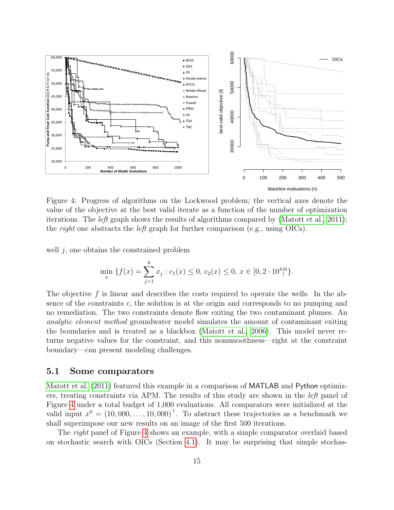

Figure 4: Progress of algorithms on the Lockwood problem; the vertical axes denote the value of the objective at the best valid iterate as a function of the number of optimization iterations. The left graph shows the results of algorithms compared by [\(Matott et al., 2011\)](#page-19-9); the *right* one abstracts the *left* graph for further comparison (e.g., using  $OICs$ ).

well  $j$ , one obtains the constrained problem

<span id="page-14-0"></span>
$$
\min_{x} \{ f(x) = \sum_{j=1}^{6} x_j : c_1(x) \le 0, \, c_2(x) \le 0, \, x \in [0, 2 \cdot 10^4]^6 \}.
$$

The objective  $f$  is linear and describes the costs required to operate the wells. In the absence of the constraints c, the solution is at the origin and corresponds to no pumping and no remediation. The two constraints denote flow exiting the two contaminant plumes. An analytic element method groundwater model simulates the amount of contaminant exiting the boundaries and is treated as a blackbox [\(Matott et al., 2006\)](#page-19-10). This model never returns negative values for the constraint, and this nonsmoothness—right at the constraint boundary—can present modeling challenges.

### <span id="page-14-1"></span>5.1 Some comparators

[Matott et al.](#page-19-9) [\(2011\)](#page-19-9) featured this example in a comparison of MATLAB and Python optimizers, treating constraints via APM. The results of this study are shown in the left panel of Figure [4](#page-14-0) under a total budget of 1,000 evaluations. All comparators were initialized at the valid input  $x^0 = (10, 000, \ldots, 10, 000)^\top$ . To abstract these trajectories as a benchmark we shall superimpose our new results on an image of the first 500 iterations.

The *right* panel of Figure [4](#page-14-0) shows an example, with a simple comparator overlaid based on stochastic search with OICs (Section [4.1\)](#page-10-1). It may be surprising that simple stochas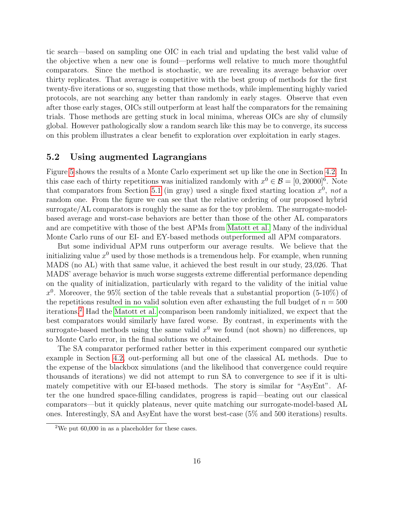tic search—based on sampling one OIC in each trial and updating the best valid value of the objective when a new one is found—performs well relative to much more thoughtful comparators. Since the method is stochastic, we are revealing its average behavior over thirty replicates. That average is competitive with the best group of methods for the first twenty-five iterations or so, suggesting that those methods, while implementing highly varied protocols, are not searching any better than randomly in early stages. Observe that even after those early stages, OICs still outperform at least half the comparators for the remaining trials. Those methods are getting stuck in local minima, whereas OICs are shy of clumsily global. However pathologically slow a random search like this may be to converge, its success on this problem illustrates a clear benefit to exploration over exploitation in early stages.

## 5.2 Using augmented Lagrangians

Figure [5](#page-16-1) shows the results of a Monte Carlo experiment set up like the one in Section [4.2.](#page-11-0) In this case each of thirty repetitions was initialized randomly with  $x^0 \in \mathcal{B} = [0, 20000]^6$ . Note that comparators from Section [5.1](#page-14-1) (in gray) used a single fixed starting location  $x^0$ , not a random one. From the figure we can see that the relative ordering of our proposed hybrid surrogate/AL comparators is roughly the same as for the toy problem. The surrogate-modelbased average and worst-case behaviors are better than those of the other AL comparators and are competitive with those of the best APMs from [Matott et al.](#page-19-9) Many of the individual Monte Carlo runs of our EI- and EY-based methods outperformed all APM comparators.

But some individual APM runs outperform our average results. We believe that the initializing value  $x^0$  used by those methods is a tremendous help. For example, when running MADS (no AL) with that same value, it achieved the best result in our study, 23,026. That MADS' average behavior is much worse suggests extreme differential performance depending on the quality of initialization, particularly with regard to the validity of the initial value  $x^0$ . Moreover, the 95% section of the table reveals that a substantial proportion (5-10%) of the repetitions resulted in no valid solution even after exhausting the full budget of  $n = 500$ iterations.[2](#page-15-0) Had the [Matott et al.](#page-19-9) comparison been randomly initialized, we expect that the best comparators would similarly have fared worse. By contrast, in experiments with the surrogate-based methods using the same valid  $x^0$  we found (not shown) no differences, up to Monte Carlo error, in the final solutions we obtained.

The SA comparator performed rather better in this experiment compared our synthetic example in Section [4.2,](#page-11-0) out-performing all but one of the classical AL methods. Due to the expense of the blackbox simulations (and the likelihood that convergence could require thousands of iterations) we did not attempt to run SA to convergence to see if it is ultimately competitive with our EI-based methods. The story is similar for "AsyEnt". After the one hundred space-filling candidates, progress is rapid—beating out our classical comparators—but it quickly plateaus, never quite matching our surrogate-model-based AL ones. Interestingly, SA and AsyEnt have the worst best-case (5% and 500 iterations) results.

<span id="page-15-0"></span><sup>&</sup>lt;sup>2</sup>We put  $60,000$  in as a placeholder for these cases.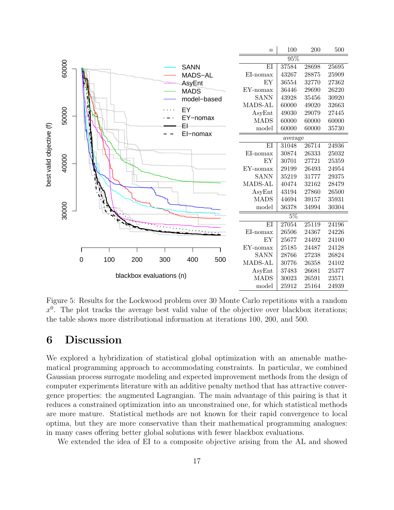<span id="page-16-1"></span>

|                          |                |                          |     |     |     |                                                 |        | $\boldsymbol{n}$ | 100   | <b>200</b> | 500   |  |
|--------------------------|----------------|--------------------------|-----|-----|-----|-------------------------------------------------|--------|------------------|-------|------------|-------|--|
|                          |                |                          |     |     |     |                                                 |        | 95%              |       |            |       |  |
| best valid objective (f) | 60000          |                          |     |     |     | <b>SANN</b>                                     |        | $E$ I            | 37584 | 28698      | 25695 |  |
|                          |                |                          |     |     |     | MADS-AL                                         |        | EI-nomax         | 43267 | 28875      | 25909 |  |
|                          |                |                          |     |     |     | AsyEnt                                          |        | EY               | 36554 | 32770      | 27362 |  |
|                          |                |                          |     |     |     | <b>MADS</b>                                     |        | $EY$ -nomax      | 36446 | 29690      | 26220 |  |
|                          |                |                          |     |     |     | model-based<br>EY<br>EY-nomax<br>EI<br>El-nomax |        | <b>SANN</b>      | 43928 | 35456      | 30920 |  |
|                          | 50000          |                          |     |     |     |                                                 |        | MADS-AL          | 60000 | 49020      | 32663 |  |
|                          |                |                          |     |     |     |                                                 | AsyEnt | 49030            | 29079 | 27445      |       |  |
|                          |                |                          |     |     |     |                                                 |        | <b>MADS</b>      | 60000 | 60000      | 60000 |  |
|                          |                |                          |     |     |     |                                                 |        | model            | 60000 | 60000      | 35730 |  |
|                          |                |                          |     |     |     |                                                 |        | average          |       |            |       |  |
|                          |                |                          |     |     |     |                                                 |        | $E$ I            | 31048 | 26714      | 24936 |  |
|                          |                |                          |     |     |     |                                                 |        | EI-nomax         | 30874 | 26333      | 25032 |  |
|                          | 40000<br>30000 |                          |     |     |     |                                                 |        | EY               | 30701 | 27721      | 25359 |  |
|                          |                |                          |     |     |     |                                                 |        | $EY$ -nomax      | 29199 | 26493      | 24954 |  |
|                          |                |                          |     |     |     |                                                 |        | <b>SANN</b>      | 35219 | 31777      | 29375 |  |
|                          |                |                          |     |     |     |                                                 |        | MADS-AL          | 40474 | 32162      | 28479 |  |
|                          |                |                          |     |     |     |                                                 |        | AsyEnt           | 43194 | 27860      | 26500 |  |
|                          |                |                          |     |     |     |                                                 |        | <b>MADS</b>      | 44694 | 39157      | 35931 |  |
|                          |                |                          |     |     |     |                                                 |        | model            | 36378 | 34994      | 30304 |  |
|                          |                |                          |     |     |     |                                                 |        |                  | $5\%$ |            |       |  |
|                          |                |                          |     |     |     |                                                 |        | $E$ I            | 27054 | 25119      | 24196 |  |
|                          |                |                          |     |     |     |                                                 |        | EI-nomax         | 26506 | 24367      | 24226 |  |
|                          |                |                          |     |     |     |                                                 |        | EY               | 25677 | 24492      | 24100 |  |
|                          |                |                          |     |     |     |                                                 |        | $EY$ -nomax      | 25185 | 24487      | 24128 |  |
|                          |                |                          |     |     |     |                                                 |        | <b>SANN</b>      | 28766 | 27238      | 26824 |  |
|                          |                | $\mathbf 0$              | 100 | 200 | 300 | 400                                             | 500    | MADS-AL          | 30776 | 26358      | 24102 |  |
|                          |                |                          |     |     |     |                                                 |        | AsyEnt           | 37483 | 26681      | 25377 |  |
|                          |                | blackbox evaluations (n) |     |     |     |                                                 |        | <b>MADS</b>      | 30023 | 26591      | 23571 |  |
|                          |                |                          |     |     |     |                                                 |        | model            | 25912 | 25164      | 24939 |  |

Figure 5: Results for the Lockwood problem over 30 Monte Carlo repetitions with a random  $x<sup>0</sup>$ . The plot tracks the average best valid value of the objective over blackbox iterations; the table shows more distributional information at iterations 100, 200, and 500.

# <span id="page-16-0"></span>6 Discussion

We explored a hybridization of statistical global optimization with an amenable mathematical programming approach to accommodating constraints. In particular, we combined Gaussian process surrogate modeling and expected improvement methods from the design of computer experiments literature with an additive penalty method that has attractive convergence properties: the augmented Lagrangian. The main advantage of this pairing is that it reduces a constrained optimization into an unconstrained one, for which statistical methods are more mature. Statistical methods are not known for their rapid convergence to local optima, but they are more conservative than their mathematical programming analogues: in many cases offering better global solutions with fewer blackbox evaluations.

We extended the idea of EI to a composite objective arising from the AL and showed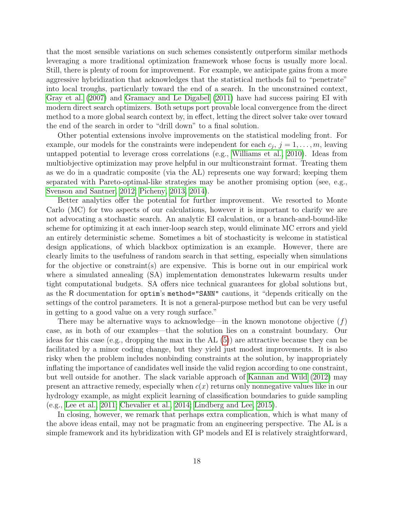that the most sensible variations on such schemes consistently outperform similar methods leveraging a more traditional optimization framework whose focus is usually more local. Still, there is plenty of room for improvement. For example, we anticipate gains from a more aggressive hybridization that acknowledges that the statistical methods fail to "penetrate" into local troughs, particularly toward the end of a search. In the unconstrained context, [Gray et al.](#page-19-11) [\(2007\)](#page-19-11) and [Gramacy and Le Digabel](#page-18-1) [\(2011\)](#page-18-1) have had success pairing EI with modern direct search optimizers. Both setups port provable local convergence from the direct method to a more global search context by, in effect, letting the direct solver take over toward the end of the search in order to "drill down" to a final solution.

Other potential extensions involve improvements on the statistical modeling front. For example, our models for the constraints were independent for each  $c_j$ ,  $j = 1, \ldots, m$ , leaving untapped potential to leverage cross correlations (e.g., [Williams et al., 2010\)](#page-21-0). Ideas from multiobjective optimization may prove helpful in our multiconstraint format. Treating them as we do in a quadratic composite (via the AL) represents one way forward; keeping them separated with Pareto-optimal-like strategies may be another promising option (see, e.g., [Svenson and Santner, 2012;](#page-20-10) [Picheny, 2013,](#page-20-11) [2014\)](#page-20-12).

Better analytics offer the potential for further improvement. We resorted to Monte Carlo (MC) for two aspects of our calculations, however it is important to clarify we are not advocating a stochastic search. An analytic EI calculation, or a branch-and-bound-like scheme for optimizing it at each inner-loop search step, would eliminate MC errors and yield an entirely deterministic scheme. Sometimes a bit of stochasticity is welcome in statistical design applications, of which blackbox optimization is an example. However, there are clearly limits to the usefulness of random search in that setting, especially when simulations for the objective or constraint(s) are expensive. This is borne out in our empirical work where a simulated annealing (SA) implementation demonstrates lukewarm results under tight computational budgets. SA offers nice technical guarantees for global solutions but, as the R documentation for optim's method="SANN" cautions, it "depends critically on the settings of the control parameters. It is not a general-purpose method but can be very useful in getting to a good value on a very rough surface."

There may be alternative ways to acknowledge—in the known monotone objective  $(f)$ case, as in both of our examples—that the solution lies on a constraint boundary. Our ideas for this case (e.g., dropping the max in the  $AL(5)$  $AL(5)$ ) are attractive because they can be facilitated by a minor coding change, but they yield just modest improvements. It is also risky when the problem includes nonbinding constraints at the solution, by inappropriately inflating the importance of candidates well inside the valid region according to one constraint, but well outside for another. The slack variable approach of [Kannan and Wild](#page-19-3) [\(2012\)](#page-19-3) may present an attractive remedy, especially when  $c(x)$  returns only nonnegative values like in our hydrology example, as might explicit learning of classification boundaries to guide sampling (e.g., [Lee et al., 2011;](#page-19-12) [Chevalier et al., 2014;](#page-18-5) [Lindberg and Lee, 2015\)](#page-19-6).

In closing, however, we remark that perhaps extra complication, which is what many of the above ideas entail, may not be pragmatic from an engineering perspective. The AL is a simple framework and its hybridization with GP models and EI is relatively straightforward,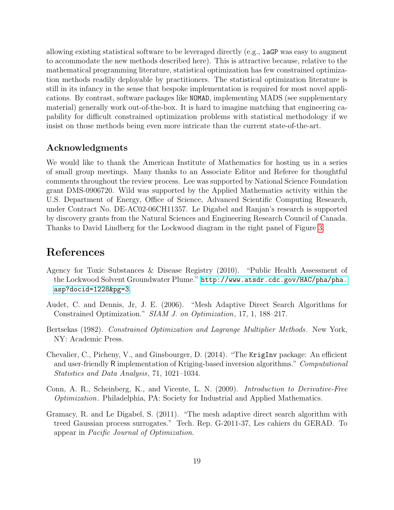allowing existing statistical software to be leveraged directly (e.g., laGP was easy to augment to accommodate the new methods described here). This is attractive because, relative to the mathematical programming literature, statistical optimization has few constrained optimization methods readily deployable by practitioners. The statistical optimization literature is still in its infancy in the sense that bespoke implementation is required for most novel applications. By contrast, software packages like NOMAD, implementing MADS (see supplementary material) generally work out-of-the-box. It is hard to imagine matching that engineering capability for difficult constrained optimization problems with statistical methodology if we insist on those methods being even more intricate than the current state-of-the-art.

# Acknowledgments

We would like to thank the American Institute of Mathematics for hosting us in a series of small group meetings. Many thanks to an Associate Editor and Referee for thoughtful comments throughout the review process. Lee was supported by National Science Foundation grant DMS-0906720. Wild was supported by the Applied Mathematics activity within the U.S. Department of Energy, Office of Science, Advanced Scientific Computing Research, under Contract No. DE-AC02-06CH11357. Le Digabel and Ranjan's research is supported by discovery grants from the Natural Sciences and Engineering Research Council of Canada. Thanks to David Lindberg for the Lockwood diagram in the right panel of Figure [3.](#page-13-1)

# References

- <span id="page-18-4"></span>Agency for Toxic Substances & Disease Registry (2010). "Public Health Assessment of the Lockwood Solvent Groundwater Plume." [http://www.atsdr.cdc.gov/HAC/pha/pha.](http://www.atsdr.cdc.gov/HAC/pha/pha.asp?docid=1228&pg=3) [asp?docid=1228&pg=3](http://www.atsdr.cdc.gov/HAC/pha/pha.asp?docid=1228&pg=3).
- <span id="page-18-3"></span>Audet, C. and Dennis, Jr, J. E. (2006). "Mesh Adaptive Direct Search Algorithms for Constrained Optimization." SIAM J. on Optimization, 17, 1, 188–217.
- <span id="page-18-0"></span>Bertsekas (1982). Constrained Optimization and Lagrange Multiplier Methods. New York, NY: Academic Press.
- <span id="page-18-5"></span>Chevalier, C., Picheny, V., and Ginsbourger, D. (2014). "The KrigInv package: An efficient and user-friendly R implementation of Kriging-based inversion algorithms." Computational Statistics and Data Analysis, 71, 1021–1034.
- <span id="page-18-2"></span>Conn, A. R., Scheinberg, K., and Vicente, L. N. (2009). Introduction to Derivative-Free Optimization. Philadelphia, PA: Society for Industrial and Applied Mathematics.
- <span id="page-18-1"></span>Gramacy, R. and Le Digabel, S. (2011). "The mesh adaptive direct search algorithm with treed Gaussian process surrogates." Tech. Rep. G-2011-37, Les cahiers du GERAD. To appear in Pacific Journal of Optimization.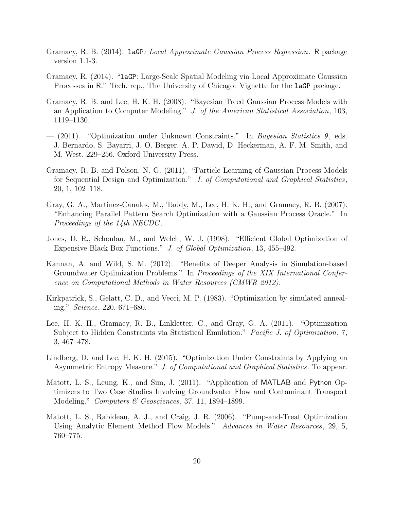- <span id="page-19-7"></span>Gramacy, R. B. (2014). laGP: Local Approximate Gaussian Process Regression. R package version 1.1-3.
- <span id="page-19-8"></span>Gramacy, R. (2014). "laGP: Large-Scale Spatial Modeling via Local Approximate Gaussian Processes in R." Tech. rep., The University of Chicago. Vignette for the laGP package.
- <span id="page-19-5"></span>Gramacy, R. B. and Lee, H. K. H. (2008). "Bayesian Treed Gaussian Process Models with an Application to Computer Modeling." J. of the American Statistical Association, 103, 1119–1130.
- <span id="page-19-1"></span> $-$  (2011). "Optimization under Unknown Constraints." In Bayesian Statistics 9, eds. J. Bernardo, S. Bayarri, J. O. Berger, A. P. Dawid, D. Heckerman, A. F. M. Smith, and M. West, 229–256. Oxford University Press.
- <span id="page-19-4"></span>Gramacy, R. B. and Polson, N. G. (2011). "Particle Learning of Gaussian Process Models for Sequential Design and Optimization." J. of Computational and Graphical Statistics, 20, 1, 102–118.
- <span id="page-19-11"></span>Gray, G. A., Martinez-Canales, M., Taddy, M., Lee, H. K. H., and Gramacy, R. B. (2007). "Enhancing Parallel Pattern Search Optimization with a Gaussian Process Oracle." In Proceedings of the 14th NECDC.
- <span id="page-19-0"></span>Jones, D. R., Schonlau, M., and Welch, W. J. (1998). "Efficient Global Optimization of Expensive Black Box Functions." J. of Global Optimization, 13, 455–492.
- <span id="page-19-3"></span>Kannan, A. and Wild, S. M. (2012). "Benefits of Deeper Analysis in Simulation-based Groundwater Optimization Problems." In Proceedings of the XIX International Conference on Computational Methods in Water Resources (CMWR 2012).
- <span id="page-19-2"></span>Kirkpatrick, S., Gelatt, C. D., and Vecci, M. P. (1983). "Optimization by simulated annealing." Science, 220, 671–680.
- <span id="page-19-12"></span>Lee, H. K. H., Gramacy, R. B., Linkletter, C., and Gray, G. A. (2011). "Optimization Subject to Hidden Constraints via Statistical Emulation." Pacific J. of Optimization, 7, 3, 467–478.
- <span id="page-19-6"></span>Lindberg, D. and Lee, H. K. H. (2015). "Optimization Under Constraints by Applying an Asymmetric Entropy Measure." J. of Computational and Graphical Statistics. To appear.
- <span id="page-19-9"></span>Matott, L. S., Leung, K., and Sim, J. (2011). "Application of MATLAB and Python Optimizers to Two Case Studies Involving Groundwater Flow and Contaminant Transport Modeling." Computers & Geosciences, 37, 11, 1894–1899.
- <span id="page-19-10"></span>Matott, L. S., Rabideau, A. J., and Craig, J. R. (2006). "Pump-and-Treat Optimization Using Analytic Element Method Flow Models." Advances in Water Resources, 29, 5, 760–775.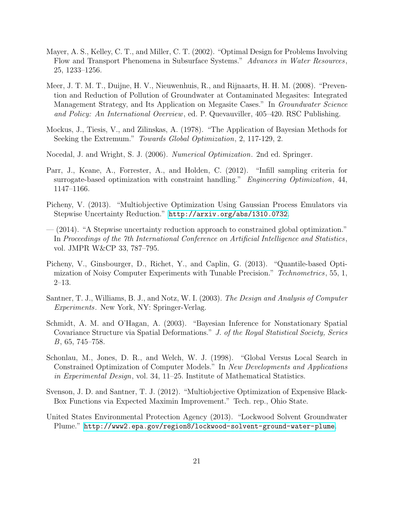- <span id="page-20-9"></span>Mayer, A. S., Kelley, C. T., and Miller, C. T. (2002). "Optimal Design for Problems Involving Flow and Transport Phenomena in Subsurface Systems." Advances in Water Resources, 25, 1233–1256.
- <span id="page-20-7"></span>Meer, J. T. M. T., Duijne, H. V., Nieuwenhuis, R., and Rijnaarts, H. H. M. (2008). "Prevention and Reduction of Pollution of Groundwater at Contaminated Megasites: Integrated Management Strategy, and Its Application on Megasite Cases." In *Groundwater Science* and Policy: An International Overview, ed. P. Quevauviller, 405–420. RSC Publishing.
- <span id="page-20-3"></span>Mockus, J., Tiesis, V., and Zilinskas, A. (1978). "The Application of Bayesian Methods for Seeking the Extremum." Towards Global Optimization, 2, 117-129, 2.
- <span id="page-20-5"></span>Nocedal, J. and Wright, S. J. (2006). Numerical Optimization. 2nd ed. Springer.
- <span id="page-20-2"></span>Parr, J., Keane, A., Forrester, A., and Holden, C. (2012). "Infill sampling criteria for surrogate-based optimization with constraint handling." Engineering Optimization, 44, 1147–1166.
- <span id="page-20-11"></span>Picheny, V. (2013). "Multiobjective Optimization Using Gaussian Process Emulators via Stepwise Uncertainty Reduction." <http://arxiv.org/abs/1310.0732>.
- <span id="page-20-12"></span>— (2014). "A Stepwise uncertainty reduction approach to constrained global optimization." In Proceedings of the 7th International Conference on Artificial Intelligence and Statistics, vol. JMPR W&CP 33, 787–795.
- <span id="page-20-0"></span>Picheny, V., Ginsbourger, D., Richet, Y., and Caplin, G. (2013). "Quantile-based Optimization of Noisy Computer Experiments with Tunable Precision." Technometrics, 55, 1, 2–13.
- <span id="page-20-4"></span>Santner, T. J., Williams, B. J., and Notz, W. I. (2003). The Design and Analysis of Computer Experiments. New York, NY: Springer-Verlag.
- <span id="page-20-6"></span>Schmidt, A. M. and O'Hagan, A. (2003). "Bayesian Inference for Nonstationary Spatial Covariance Structure via Spatial Deformations." J. of the Royal Statistical Society, Series B, 65, 745–758.
- <span id="page-20-1"></span>Schonlau, M., Jones, D. R., and Welch, W. J. (1998). "Global Versus Local Search in Constrained Optimization of Computer Models." In New Developments and Applications in Experimental Design, vol. 34, 11–25. Institute of Mathematical Statistics.
- <span id="page-20-10"></span>Svenson, J. D. and Santner, T. J. (2012). "Multiobjective Optimization of Expensive Black-Box Functions via Expected Maximin Improvement." Tech. rep., Ohio State.
- <span id="page-20-8"></span>United States Environmental Protection Agency (2013). "Lockwood Solvent Groundwater Plume." <http://www2.epa.gov/region8/lockwood-solvent-ground-water-plume>.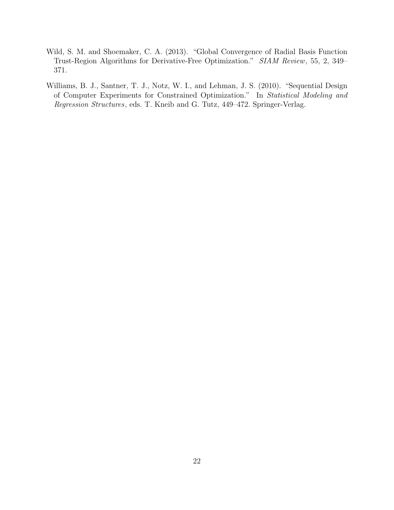- <span id="page-21-1"></span>Wild, S. M. and Shoemaker, C. A. (2013). "Global Convergence of Radial Basis Function Trust-Region Algorithms for Derivative-Free Optimization." SIAM Review, 55, 2, 349– 371.
- <span id="page-21-0"></span>Williams, B. J., Santner, T. J., Notz, W. I., and Lehman, J. S. (2010). "Sequential Design of Computer Experiments for Constrained Optimization." In Statistical Modeling and Regression Structures, eds. T. Kneib and G. Tutz, 449–472. Springer-Verlag.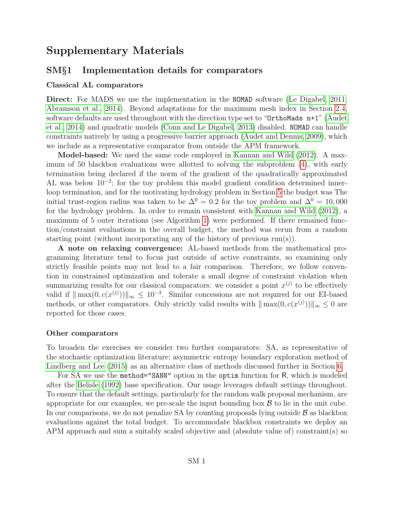# Supplementary Materials

# SM§1 Implementation details for comparators

#### Classical AL comparators

Direct: For MADS we use the implementation in the NOMAD software [\(Le Digabel, 2011;](#page-23-1) [Abramson et al., 2014\)](#page-23-2). Beyond adaptations for the maximum mesh index in Section [2.4,](#page-6-1) software defaults are used throughout with the direction type set to "OrthoMads n+1" [\(Audet](#page-23-3) [et al., 2014\)](#page-23-3) and quadratic models [\(Conn and Le Digabel, 2013\)](#page-23-4) disabled. NOMAD can handle constraints natively by using a progressive barrier approach [\(Audet and Dennis, 2009\)](#page-23-5), which we include as a representative comparator from outside the APM framework.

Model-based: We used the same code employed in [Kannan and Wild](#page-19-3) [\(2012\)](#page-19-3). A maximum of 50 blackbox evaluations were allotted to solving the subproblem [\(4\)](#page-5-2), with early termination being declared if the norm of the gradient of the quadratically approximated AL was below 10<sup>-2</sup>; for the toy problem this model gradient condition determined innerloop termination, and for the motivating hydrology problem in Section [5](#page-13-0) the budget was The initial trust-region radius was taken to be  $\Delta^{0} = 0.2$  for the toy problem and  $\Delta^{0} = 10,000$ for the hydrology problem. In order to remain consistent with [Kannan and Wild](#page-19-3) [\(2012\)](#page-19-3), a maximum of 5 outer iterations (see Algorithm [1\)](#page-5-1) were performed. If there remained function/constraint evaluations in the overall budget, the method was rerun from a random starting point (without incorporating any of the history of previous run(s)).

A note on relaxing convergence: AL-based methods from the mathematical programming literature tend to focus just outside of active constraints, so examining only strictly feasible points may not lead to a fair comparison. Therefore, we follow convention in constrained optimization and tolerate a small degree of constraint violation when summarizing results for our classical comparators: we consider a point  $x^{(j)}$  to be effectively valid if  $\|\max(0, c(x^{(j)}))\|_{\infty} \leq 10^{-3}$ . Similar concessions are not required for our EI-based methods, or other comparators. Only strictly valid results with  $\|\max(0, c(x^{(j)}))\|_{\infty} \leq 0$  are reported for those cases.

#### Other comparators

To broaden the exercises we consider two further comparators: SA, as representative of the stochastic optimization literature; asymmetric entropy boundary exploration method of [Lindberg and Lee](#page-19-6) [\(2015\)](#page-19-6) as an alternative class of methods discussed further in Section [6.](#page-16-0)

For SA we use the method="SANN" option in the optim function for R, which is modeled after the [Belisle](#page-23-6) [\(1992\)](#page-23-6) base specification. Our usage leverages default settings throughout. To ensure that the default settings, particularly for the random walk proposal mechanism, are appropriate for our examples, we pre-scale the input bounding box  $\beta$  to lie in the unit cube. In our comparisons, we do not penalize  $SA$  by counting proposals lying outside  $\beta$  as blackbox evaluations against the total budget. To accommodate blackbox constraints we deploy an APM approach and sum a suitably scaled objective and (absolute value of) constraint(s) so